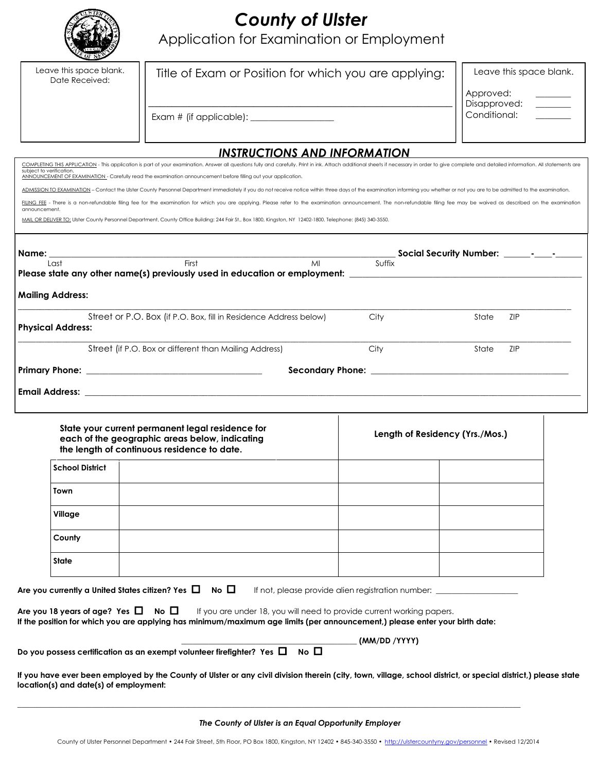| c  |
|----|
|    |
|    |
| Oī |

**Town**

**Village**

**County**

**State**

# *County of Ulster*

Application for Examination or Employment

| Leave this space blank.<br>Date Received: | Title of Exam or Position for which you are applying:                                                                                                                                                                                                                                                                                           |                                 | Leave this space blank. |  |  |
|-------------------------------------------|-------------------------------------------------------------------------------------------------------------------------------------------------------------------------------------------------------------------------------------------------------------------------------------------------------------------------------------------------|---------------------------------|-------------------------|--|--|
|                                           |                                                                                                                                                                                                                                                                                                                                                 |                                 | Approved:               |  |  |
|                                           |                                                                                                                                                                                                                                                                                                                                                 |                                 | Disapproved:            |  |  |
|                                           |                                                                                                                                                                                                                                                                                                                                                 |                                 | Conditional:            |  |  |
|                                           |                                                                                                                                                                                                                                                                                                                                                 |                                 |                         |  |  |
|                                           | <b>INSTRUCTIONS AND INFORMATION</b>                                                                                                                                                                                                                                                                                                             |                                 |                         |  |  |
| subject to verification.                  | COMPLETING THIS APPLICATION - This application is part of your examination. Answer all questions fully and carefully. Print in ink. Attach additional sheets if necessary in order to give complete and detailed information.<br>ANNOUNCEMENT OF EXAMINATION - Carefully read the examination announcement before filling out your application. |                                 |                         |  |  |
|                                           | ADMISSION TO EXAMINATION - Contact the Ulster County Personnel Department immediately if you do not receive notice within three days of the examination informing you whether or not you are to be admitted to the examination                                                                                                                  |                                 |                         |  |  |
|                                           | FILING FEE - There is a non-refundable filing fee for the examination for which you are applying. Please refer to the examination announcement. The non-refundable filing fee may be waived as described on the examination                                                                                                                     |                                 |                         |  |  |
| announcement.                             | MAIL OR DELIVER TO: Ulster County Personnel Department, County Office Building: 244 Fair St., Box 1800, Kingston, NY 12402-1800. Telephone: (845) 340-3550.                                                                                                                                                                                     |                                 |                         |  |  |
|                                           |                                                                                                                                                                                                                                                                                                                                                 |                                 |                         |  |  |
|                                           |                                                                                                                                                                                                                                                                                                                                                 |                                 |                         |  |  |
| Name:                                     | end and the set of the set of the set of the set of the set of the set of the set of the set of the set of the<br>Tirst                                                                                                                                                                                                                         |                                 |                         |  |  |
| Last                                      | MI                                                                                                                                                                                                                                                                                                                                              | Suffix                          |                         |  |  |
|                                           | Please state any other name(s) previously used in education or employment: _________________________                                                                                                                                                                                                                                            |                                 |                         |  |  |
| <b>Mailing Address:</b>                   |                                                                                                                                                                                                                                                                                                                                                 |                                 |                         |  |  |
| <b>Physical Address:</b>                  | Street or P.O. Box (if P.O. Box, fill in Residence Address below)                                                                                                                                                                                                                                                                               | City                            | <b>ZIP</b><br>State     |  |  |
|                                           |                                                                                                                                                                                                                                                                                                                                                 |                                 |                         |  |  |
|                                           | Street (if P.O. Box or different than Mailing Address)                                                                                                                                                                                                                                                                                          | City                            | State<br><b>ZIP</b>     |  |  |
|                                           |                                                                                                                                                                                                                                                                                                                                                 |                                 |                         |  |  |
|                                           | Email Address: with a state of the control of the control of the control of the control of the control of the control of the control of the control of the control of the control of the control of the control of the control                                                                                                                  |                                 |                         |  |  |
|                                           |                                                                                                                                                                                                                                                                                                                                                 |                                 |                         |  |  |
|                                           | State your current permanent legal residence for                                                                                                                                                                                                                                                                                                |                                 |                         |  |  |
|                                           | each of the geographic areas below, indicating                                                                                                                                                                                                                                                                                                  | Length of Residency (Yrs./Mos.) |                         |  |  |
|                                           | the length of continuous residence to date.                                                                                                                                                                                                                                                                                                     |                                 |                         |  |  |
| <b>School District</b>                    |                                                                                                                                                                                                                                                                                                                                                 |                                 |                         |  |  |
|                                           |                                                                                                                                                                                                                                                                                                                                                 |                                 |                         |  |  |

| Are you 18 years of age? Yes $\Box$ No $\Box$ | If you are under 18, you will need to provide current working papers.                                                       |
|-----------------------------------------------|-----------------------------------------------------------------------------------------------------------------------------|
|                                               | If the position for which you are applying has minimum/maximum age limits (per announcement,) please enter your birth date: |

**\_\_\_\_\_\_\_\_\_\_\_\_\_\_\_\_\_\_\_\_\_\_\_\_\_\_\_\_\_\_\_\_\_\_\_\_\_\_\_\_\_\_\_\_\_\_\_\_\_\_\_\_\_\_\_\_\_\_\_\_\_\_\_\_\_\_\_\_\_\_\_\_\_\_\_\_\_\_\_\_\_\_\_\_\_\_\_\_\_\_\_\_\_\_\_\_\_\_\_\_\_\_\_\_\_\_\_\_\_\_\_\_\_\_\_\_\_\_\_\_\_\_\_\_\_\_\_\_\_**

Are you currently a United States citizen? Yes  $\Box$  No  $\Box$  If not, please provide alien registration number:

**\_\_\_\_\_\_\_\_\_\_\_\_\_\_\_\_\_\_\_\_\_\_\_\_\_\_\_\_\_\_\_\_\_\_\_\_\_\_\_\_\_\_\_\_\_ (MM/DD /YYYY)**

Do you possess certification as an exempt volunteer firefighter? Yes  $\Box$  No  $\Box$ 

**If you have ever been employed by the County of Ulster or any civil division therein (city, town, village, school district, or special district,) please state location(s) and date(s) of employment:**

*The County of Ulster is an Equal Opportunity Employer*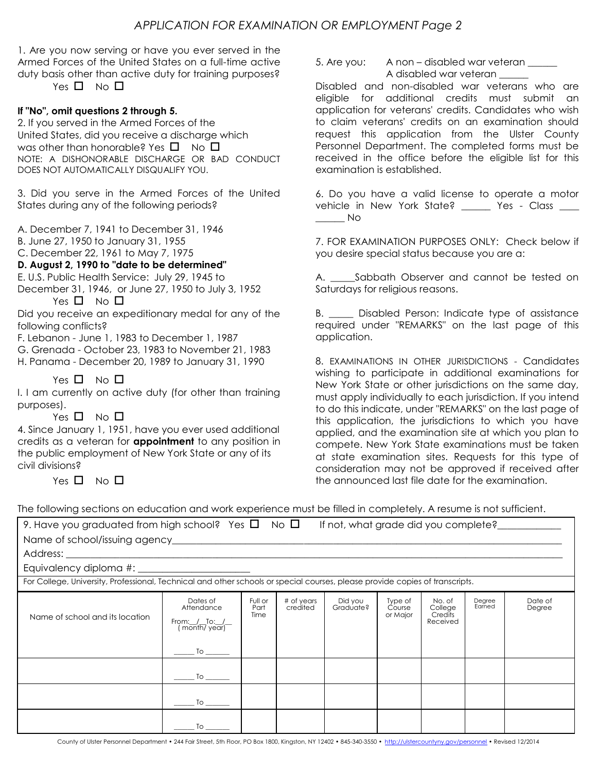1. Are you now serving or have you ever served in the Armed Forces of the United States on a full-time active duty basis other than active duty for training purposes?

Yes  $\Box$  No  $\Box$ 

### **If "No", omit questions 2 through 5.**

2. If you served in the Armed Forces of the United States, did you receive a discharge which was other than honorable? Yes  $\Pi$  No  $\Pi$ NOTE: A DISHONORABLE DISCHARGE OR BAD CONDUCT DOES NOT AUTOMATICALLY DISQUALIFY YOU.

3. Did you serve in the Armed Forces of the United States during any of the following periods?

A. December 7, 1941 to December 31, 1946

B. June 27, 1950 to January 31, 1955

C. December 22, 1961 to May 7, 1975

### **D. August 2, 1990 to "date to be determined"**

E. U.S. Public Health Service: July 29, 1945 to December 31, 1946, or June 27, 1950 to July 3, 1952

Yes  $\Box$  No  $\Box$ 

Did you receive an expeditionary medal for any of the following conflicts?

F. Lebanon - June 1, 1983 to December 1, 1987

G. Grenada - October 23, 1983 to November 21, 1983

H. Panama - December 20, 1989 to January 31, 1990

Yes  $\Box$  No  $\Box$ 

I. I am currently on active duty (for other than training purposes).

Yes  $\Box$  No  $\Box$ 

4. Since January 1, 1951, have you ever used additional credits as a veteran for **appointment** to any position in the public employment of New York State or any of its civil divisions?

Yes  $\Pi$  No  $\Pi$ 

5. Are you: A non – disabled war veteran A disabled war veteran \_\_\_\_\_\_

Disabled and non-disabled war veterans who are eligible for additional credits must submit an application for veterans' credits. Candidates who wish to claim veterans' credits on an examination should request this application from the Ulster County Personnel Department. The completed forms must be received in the office before the eligible list for this examination is established.

6. Do you have a valid license to operate a motor vehicle in New York State? Yes - Class  $\_\_$  No

7. FOR EXAMINATION PURPOSES ONLY: Check below if you desire special status because you are a:

A. Sabbath Observer and cannot be tested on Saturdays for religious reasons.

B. Disabled Person: Indicate type of assistance required under "REMARKS" on the last page of this application.

8. EXAMINATIONS IN OTHER JURISDICTIONS - Candidates wishing to participate in additional examinations for New York State or other jurisdictions on the same day, must apply individually to each jurisdiction. If you intend to do this indicate, under "REMARKS" on the last page of this application, the jurisdictions to which you have applied, and the examination site at which you plan to compete. New York State examinations must be taken at state examination sites. Requests for this type of consideration may not be approved if received after the announced last file date for the examination.

The following sections on education and work experience must be filled in completely. A resume is not sufficient.

| 9. Have you graduated from high school? Yes $\square$ No $\square$                                                           |                                                                                                                  |                         |                        | If not, what grade did you complete? |                               |                                          |                  |                   |
|------------------------------------------------------------------------------------------------------------------------------|------------------------------------------------------------------------------------------------------------------|-------------------------|------------------------|--------------------------------------|-------------------------------|------------------------------------------|------------------|-------------------|
|                                                                                                                              |                                                                                                                  |                         |                        |                                      |                               |                                          |                  |                   |
|                                                                                                                              |                                                                                                                  |                         |                        |                                      |                               |                                          |                  |                   |
|                                                                                                                              | Equivalency diploma #: _______________________                                                                   |                         |                        |                                      |                               |                                          |                  |                   |
| For College, University, Professional, Technical and other schools or special courses, please provide copies of transcripts. |                                                                                                                  |                         |                        |                                      |                               |                                          |                  |                   |
| Name of school and its location                                                                                              | Dates of<br>Attendance<br>From: /_To: /_<br>(month/year)<br>$\overline{\phantom{a}}$ To $\overline{\phantom{a}}$ | Full or<br>Part<br>Time | # of years<br>credited | Did you<br>Graduate?                 | Type of<br>Course<br>or Major | No. of<br>College<br>Credits<br>Received | Degree<br>Earned | Date of<br>Degree |
|                                                                                                                              |                                                                                                                  |                         |                        |                                      |                               |                                          |                  |                   |
|                                                                                                                              |                                                                                                                  |                         |                        |                                      |                               |                                          |                  |                   |
|                                                                                                                              | To                                                                                                               |                         |                        |                                      |                               |                                          |                  |                   |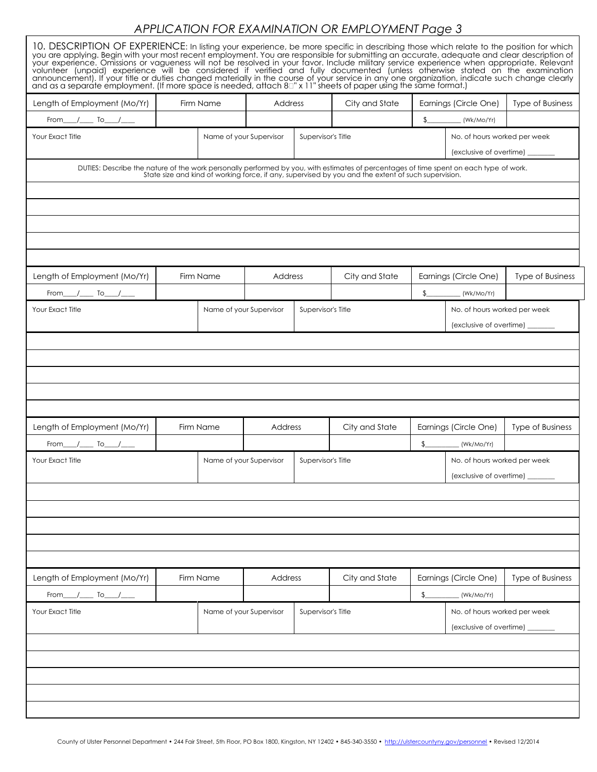# *APPLICATION FOR EXAMINATION OR EMPLOYMENT Page 3*

| 10. DESCRIPTION OF EXPERIENCE: In listing your experience, be more specific in describing those which relate to the position for which<br>you are applying. Begin with your most recent employment. You are responsible for submitting an accurate, adequate and clear description of<br>your experience. Omissions or vagueness will not be resolved in your favor. Include military service experience when appropriate. Relevant<br>volunteer (unpaid) experience will be considered if verified and fully documented ( |  |                         |         |                    |                    |                                                                |                                                           |                         |
|----------------------------------------------------------------------------------------------------------------------------------------------------------------------------------------------------------------------------------------------------------------------------------------------------------------------------------------------------------------------------------------------------------------------------------------------------------------------------------------------------------------------------|--|-------------------------|---------|--------------------|--------------------|----------------------------------------------------------------|-----------------------------------------------------------|-------------------------|
| Length of Employment (Mo/Yr)                                                                                                                                                                                                                                                                                                                                                                                                                                                                                               |  | Firm Name               | Address |                    | City and State     | Earnings (Circle One)                                          |                                                           | <b>Type of Business</b> |
| $From \_ / \_$ To $\_ / \_$                                                                                                                                                                                                                                                                                                                                                                                                                                                                                                |  |                         |         |                    |                    | $\frac{1}{2}$                                                  | Wk/Mo/Yr                                                  |                         |
| Your Exact Title                                                                                                                                                                                                                                                                                                                                                                                                                                                                                                           |  | Name of your Supervisor |         | Supervisor's Title |                    | No. of hours worked per week<br>(exclusive of overtime) ______ |                                                           |                         |
| DUTIES: Describe the nature of the work personally performed by you, with estimates of percentages of time spent on each type of work.<br>State size and kind of working force, if any, supervised by you and the extent of such                                                                                                                                                                                                                                                                                           |  |                         |         |                    |                    |                                                                |                                                           |                         |
| Length of Employment (Mo/Yr)                                                                                                                                                                                                                                                                                                                                                                                                                                                                                               |  | Firm Name               | Address |                    | City and State     |                                                                | Earnings (Circle One)                                     | <b>Type of Business</b> |
| $From$ $\_\_$ To $\_\_$                                                                                                                                                                                                                                                                                                                                                                                                                                                                                                    |  |                         |         |                    |                    | $\frac{1}{2}$                                                  | (Wk/Mo/Yr)                                                |                         |
| Your Exact Title                                                                                                                                                                                                                                                                                                                                                                                                                                                                                                           |  | Name of your Supervisor |         | Supervisor's Title |                    | No. of hours worked per week<br>(exclusive of overtime) ______ |                                                           |                         |
|                                                                                                                                                                                                                                                                                                                                                                                                                                                                                                                            |  |                         |         |                    |                    |                                                                |                                                           |                         |
| Length of Employment (Mo/Yr)                                                                                                                                                                                                                                                                                                                                                                                                                                                                                               |  | Firm Name               | Address |                    | City and State     | Earnings (Circle One)                                          |                                                           | <b>Type of Business</b> |
| $From \_ / \_$ To $\_ / \_$<br>$\frac{1}{2}$ (Wk/Mo/Yr)<br>Name of your Supervisor<br>Your Exact Title<br>Supervisor's Title<br>No. of hours worked per week<br>(exclusive of overtime) _                                                                                                                                                                                                                                                                                                                                  |  |                         |         |                    |                    |                                                                |                                                           |                         |
|                                                                                                                                                                                                                                                                                                                                                                                                                                                                                                                            |  |                         |         |                    |                    |                                                                |                                                           |                         |
| Length of Employment (Mo/Yr)                                                                                                                                                                                                                                                                                                                                                                                                                                                                                               |  | Firm Name               | Address |                    | City and State     |                                                                | Earnings (Circle One)                                     | Type of Business        |
| From___/____ To___/___                                                                                                                                                                                                                                                                                                                                                                                                                                                                                                     |  |                         |         |                    |                    | $\frac{1}{2}$<br>(Wk/Mo/Yr)                                    |                                                           |                         |
| Your Exact Title                                                                                                                                                                                                                                                                                                                                                                                                                                                                                                           |  | Name of your Supervisor |         |                    | Supervisor's Title |                                                                | No. of hours worked per week<br>(exclusive of overtime) _ |                         |
|                                                                                                                                                                                                                                                                                                                                                                                                                                                                                                                            |  |                         |         |                    |                    |                                                                |                                                           |                         |